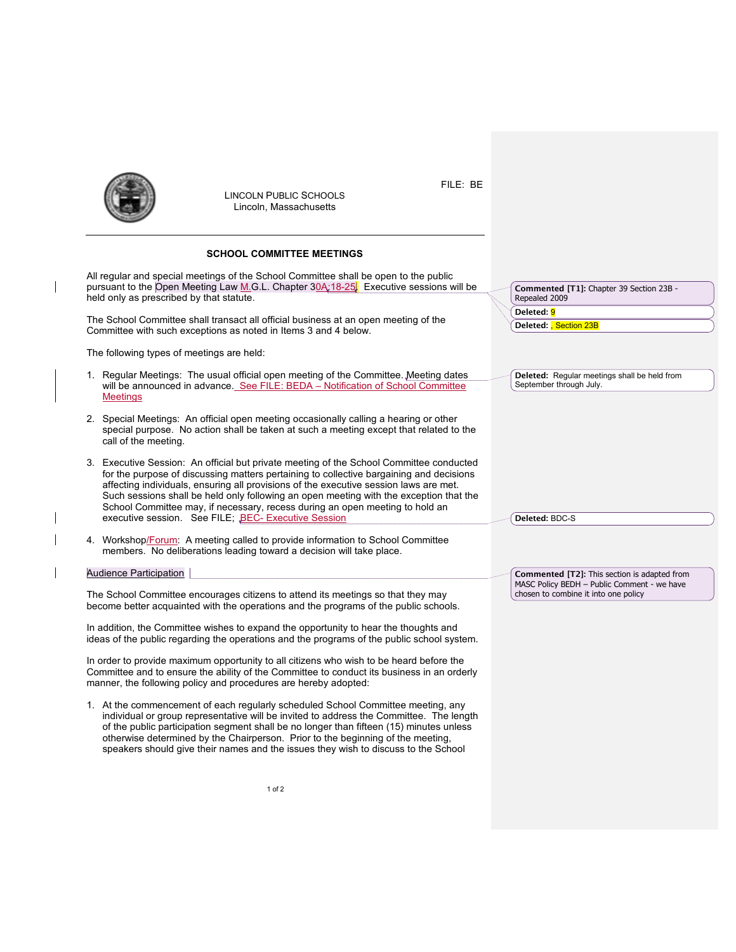

 $\mathbf{l}$ 

 $\mathsf I$  $\overline{\phantom{a}}$ 

 $\overline{\phantom{a}}$ 

LINCOLN PUBLIC SCHOOLS Lincoln, Massachusetts

## **SCHOOL COMMITTEE MEETINGS**

| Commented [T1]: Chapter 39 Section 23B -<br>Repealed 2009                           |
|-------------------------------------------------------------------------------------|
| Deleted: 9                                                                          |
| Deleted: Section 23B                                                                |
|                                                                                     |
| Deleted: Regular meetings shall be held from<br>September through July.             |
|                                                                                     |
| Deleted: BDC-S                                                                      |
| <b>Commented [T2]:</b> This section is adapted from                                 |
| MASC Policy BEDH - Public Comment - we have<br>chosen to combine it into one policy |
|                                                                                     |
|                                                                                     |
|                                                                                     |
|                                                                                     |
|                                                                                     |

FILE: BE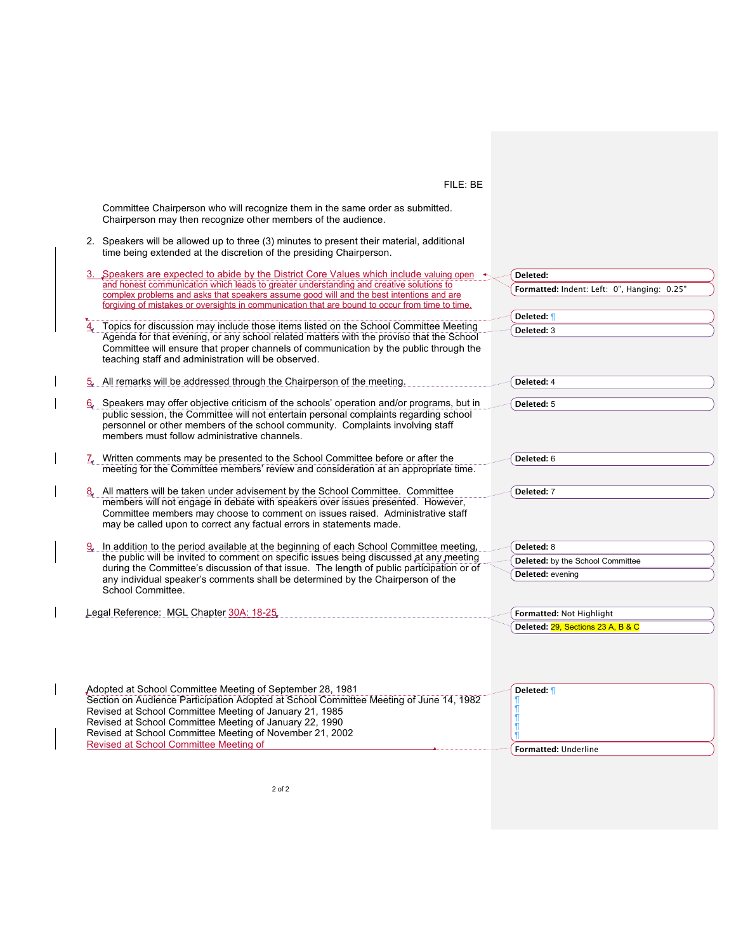## FILE: BE

Committee Chairperson who will recognize them in the same order as submitted. Chairperson may then recognize other members of the audience.

2. Speakers will be allowed up to three (3) minutes to present their material, additional time being extended at the discretion of the presiding Chairperson.

 $\overline{\phantom{a}}$ 

 $\mathsf{l}$ 

 $\mathsf{l}$ 

 $\overline{\phantom{a}}$ 

| 3. Speakers are expected to abide by the District Core Values which include valuing open $\leftrightarrow$                                                                                                                                                                             | Deleted:                                    |
|----------------------------------------------------------------------------------------------------------------------------------------------------------------------------------------------------------------------------------------------------------------------------------------|---------------------------------------------|
| and honest communication which leads to greater understanding and creative solutions to<br>complex problems and asks that speakers assume good will and the best intentions and are<br>forgiving of mistakes or oversights in communication that are bound to occur from time to time. | Formatted: Indent: Left: 0", Hanging: 0.25" |
|                                                                                                                                                                                                                                                                                        | Deleted: ¶                                  |
| Topics for discussion may include those items listed on the School Committee Meeting                                                                                                                                                                                                   | Deleted: 3                                  |
| Agenda for that evening, or any school related matters with the proviso that the School<br>Committee will ensure that proper channels of communication by the public through the<br>teaching staff and administration will be observed.                                                |                                             |
| All remarks will be addressed through the Chairperson of the meeting.<br>5.                                                                                                                                                                                                            | Deleted: 4                                  |
| Speakers may offer objective criticism of the schools' operation and/or programs, but in                                                                                                                                                                                               | Deleted: 5                                  |
| public session, the Committee will not entertain personal complaints regarding school<br>personnel or other members of the school community. Complaints involving staff<br>members must follow administrative channels.                                                                |                                             |
| $\frac{7}{4}$ Written comments may be presented to the School Committee before or after the                                                                                                                                                                                            | Deleted: 6                                  |
| meeting for the Committee members' review and consideration at an appropriate time.                                                                                                                                                                                                    |                                             |
| All matters will be taken under advisement by the School Committee. Committee                                                                                                                                                                                                          | Deleted: 7                                  |
| members will not engage in debate with speakers over issues presented. However,<br>Committee members may choose to comment on issues raised. Administrative staff<br>may be called upon to correct any factual errors in statements made.                                              |                                             |
| In addition to the period available at the beginning of each School Committee meeting,                                                                                                                                                                                                 | Deleted: 8                                  |
| the public will be invited to comment on specific issues being discussed at any meeting                                                                                                                                                                                                | Deleted: by the School Committee            |
| during the Committee's discussion of that issue. The length of public participation or of                                                                                                                                                                                              | Deleted: evening                            |
| any individual speaker's comments shall be determined by the Chairperson of the<br>School Committee.                                                                                                                                                                                   |                                             |
| Legal Reference: MGL Chapter 30A: 18-25                                                                                                                                                                                                                                                | Formatted: Not Highlight                    |
|                                                                                                                                                                                                                                                                                        | Deleted: 29, Sections 23 A, B & C           |
|                                                                                                                                                                                                                                                                                        |                                             |
| Adopted at School Committee Meeting of September 28, 1981<br>Section on Audience Participation Adopted at School Committee Meeting of June 14, 1982                                                                                                                                    | Deleted: ¶                                  |
| Revised at School Committee Meeting of January 21, 1985                                                                                                                                                                                                                                |                                             |
| Revised at School Committee Meeting of January 22, 1990                                                                                                                                                                                                                                |                                             |
| Revised at School Committee Meeting of November 21, 2002                                                                                                                                                                                                                               |                                             |
| Revised at School Committee Meeting of                                                                                                                                                                                                                                                 | Formatted: Underline                        |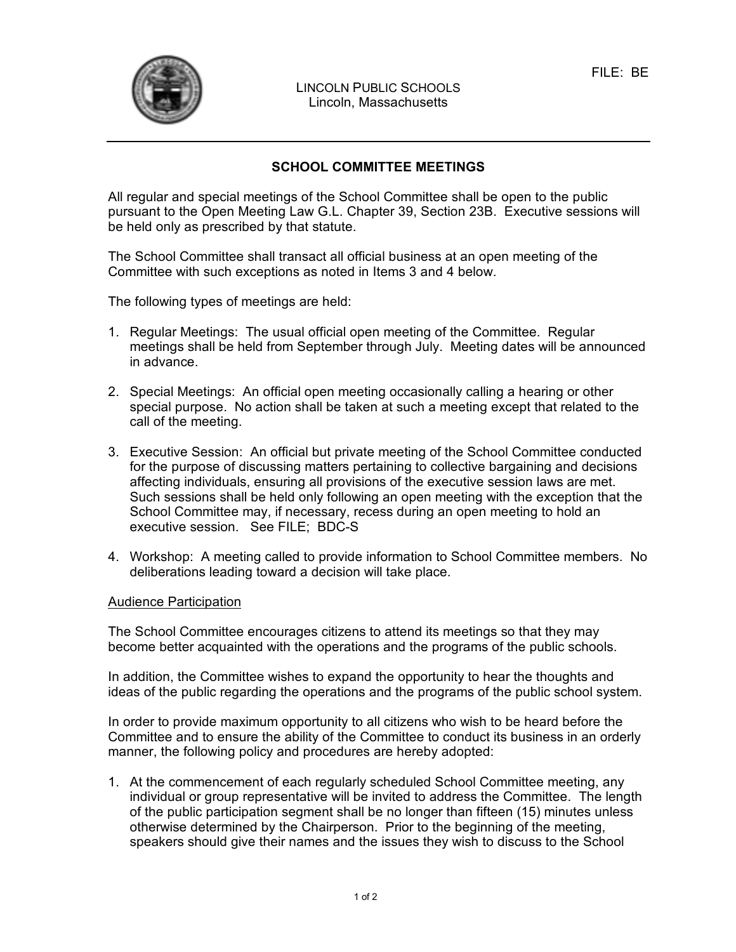

LINCOLN PUBLIC SCHOOLS Lincoln, Massachusetts

## **SCHOOL COMMITTEE MEETINGS**

All regular and special meetings of the School Committee shall be open to the public pursuant to the Open Meeting Law G.L. Chapter 39, Section 23B. Executive sessions will be held only as prescribed by that statute.

The School Committee shall transact all official business at an open meeting of the Committee with such exceptions as noted in Items 3 and 4 below.

The following types of meetings are held:

- 1. Regular Meetings: The usual official open meeting of the Committee. Regular meetings shall be held from September through July. Meeting dates will be announced in advance.
- 2. Special Meetings: An official open meeting occasionally calling a hearing or other special purpose. No action shall be taken at such a meeting except that related to the call of the meeting.
- 3. Executive Session: An official but private meeting of the School Committee conducted for the purpose of discussing matters pertaining to collective bargaining and decisions affecting individuals, ensuring all provisions of the executive session laws are met. Such sessions shall be held only following an open meeting with the exception that the School Committee may, if necessary, recess during an open meeting to hold an executive session. See FILE; BDC-S
- 4. Workshop: A meeting called to provide information to School Committee members. No deliberations leading toward a decision will take place.

## Audience Participation

The School Committee encourages citizens to attend its meetings so that they may become better acquainted with the operations and the programs of the public schools.

In addition, the Committee wishes to expand the opportunity to hear the thoughts and ideas of the public regarding the operations and the programs of the public school system.

In order to provide maximum opportunity to all citizens who wish to be heard before the Committee and to ensure the ability of the Committee to conduct its business in an orderly manner, the following policy and procedures are hereby adopted:

1. At the commencement of each regularly scheduled School Committee meeting, any individual or group representative will be invited to address the Committee. The length of the public participation segment shall be no longer than fifteen (15) minutes unless otherwise determined by the Chairperson. Prior to the beginning of the meeting, speakers should give their names and the issues they wish to discuss to the School